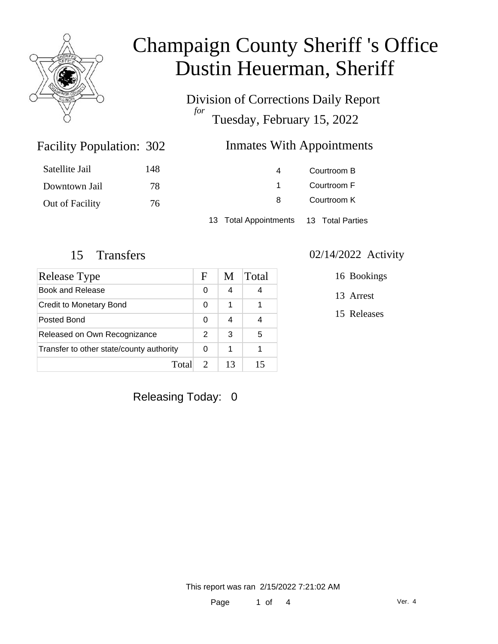

Division of Corrections Daily Report *for* Tuesday, February 15, 2022

### Inmates With Appointments

| Satellite Jail  | 148 | 4                                      | Courtroom B |
|-----------------|-----|----------------------------------------|-------------|
| Downtown Jail   | 78  |                                        | Courtroom F |
| Out of Facility | 76  | 8                                      | Courtroom K |
|                 |     | 13 Total Appointments 13 Total Parties |             |

Facility Population: 302

| Release Type                             | F | M  | Total |
|------------------------------------------|---|----|-------|
| <b>Book and Release</b>                  |   | 4  | 4     |
| <b>Credit to Monetary Bond</b>           |   | 1  |       |
| Posted Bond                              |   | 4  |       |
| Released on Own Recognizance             |   | 3  | 5     |
| Transfer to other state/county authority |   | 1  |       |
| Tota                                     |   | 13 | 15    |

#### 15 Transfers 02/14/2022 Activity

16 Bookings

13 Arrest

15 Releases

Releasing Today: 0

This report was ran 2/15/2022 7:21:02 AM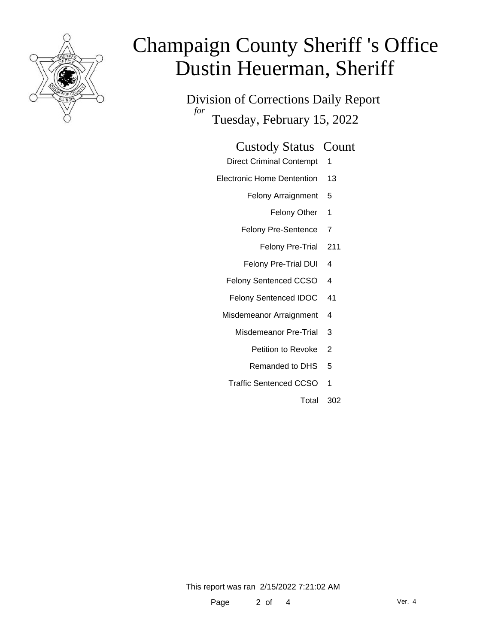

Division of Corrections Daily Report *for* Tuesday, February 15, 2022

#### Custody Status Count

- Direct Criminal Contempt 1
- Electronic Home Dentention 13
	- Felony Arraignment 5
		- Felony Other 1
	- Felony Pre-Sentence 7
		- Felony Pre-Trial 211
	- Felony Pre-Trial DUI 4
	- Felony Sentenced CCSO 4
	- Felony Sentenced IDOC 41
	- Misdemeanor Arraignment 4
		- Misdemeanor Pre-Trial 3
			- Petition to Revoke 2
			- Remanded to DHS 5
		- Traffic Sentenced CCSO 1
			- Total 302

This report was ran 2/15/2022 7:21:02 AM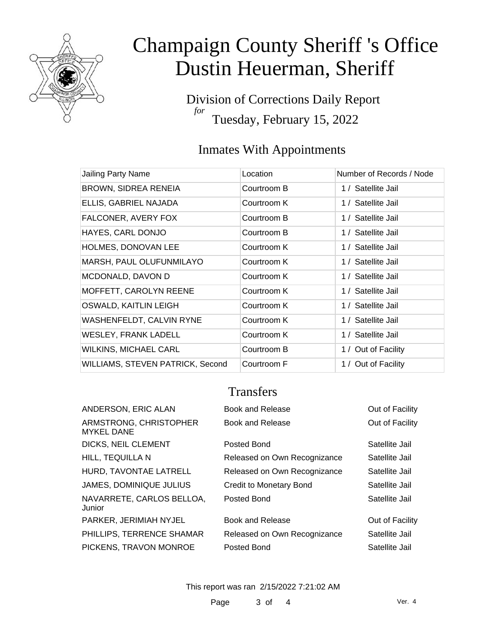

Division of Corrections Daily Report *for* Tuesday, February 15, 2022

### Inmates With Appointments

| Jailing Party Name               | Location    | Number of Records / Node |
|----------------------------------|-------------|--------------------------|
| <b>BROWN, SIDREA RENEIA</b>      | Courtroom B | 1 / Satellite Jail       |
| ELLIS, GABRIEL NAJADA            | Courtroom K | 1 / Satellite Jail       |
| FALCONER, AVERY FOX              | Courtroom B | 1 / Satellite Jail       |
| HAYES, CARL DONJO                | Courtroom B | 1 / Satellite Jail       |
| HOLMES, DONOVAN LEE              | Courtroom K | 1 / Satellite Jail       |
| MARSH, PAUL OLUFUNMILAYO         | Courtroom K | 1 / Satellite Jail       |
| MCDONALD, DAVON D                | Courtroom K | 1 / Satellite Jail       |
| MOFFETT, CAROLYN REENE           | Courtroom K | 1 / Satellite Jail       |
| OSWALD, KAITLIN LEIGH            | Courtroom K | 1 / Satellite Jail       |
| WASHENFELDT, CALVIN RYNE         | Courtroom K | 1 / Satellite Jail       |
| <b>WESLEY, FRANK LADELL</b>      | Courtroom K | 1 / Satellite Jail       |
| <b>WILKINS, MICHAEL CARL</b>     | Courtroom B | 1 / Out of Facility      |
| WILLIAMS, STEVEN PATRICK, Second | Courtroom F | 1 / Out of Facility      |

### **Transfers**

|                              | Out of Facility  |
|------------------------------|------------------|
| Book and Release             | Out of Facility  |
| Posted Bond                  | Satellite Jail   |
| Released on Own Recognizance | Satellite Jail   |
| Released on Own Recognizance | Satellite Jail   |
| Credit to Monetary Bond      | Satellite Jail   |
| Posted Bond                  | Satellite Jail   |
| Book and Release             | Out of Facility  |
| Released on Own Recognizance | Satellite Jail   |
| Posted Bond                  | Satellite Jail   |
|                              | Book and Release |